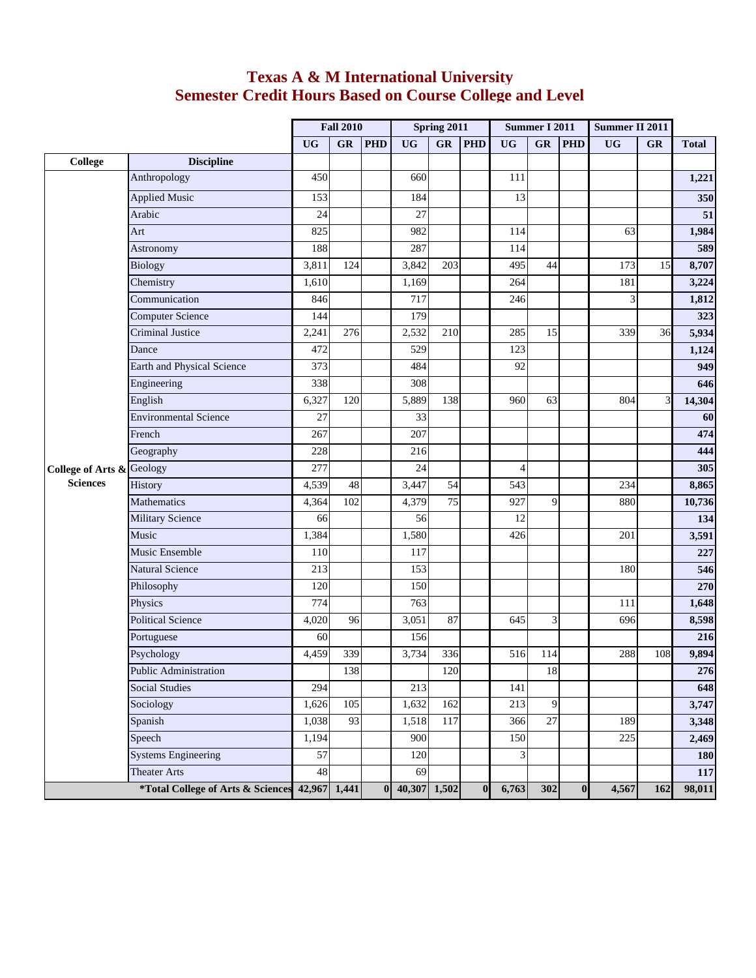## **Texas A & M International University Semester Credit Hours Based on Course College and Level**

|                                                         |                              | <b>Fall 2010</b> |     | Spring 2011    |              |                 | <b>Summer I 2011</b> |                 |                 | Summer II 2011          |           |           |              |
|---------------------------------------------------------|------------------------------|------------------|-----|----------------|--------------|-----------------|----------------------|-----------------|-----------------|-------------------------|-----------|-----------|--------------|
|                                                         |                              | <b>UG</b>        | GR  | <b>PHD</b>     | <b>UG</b>    | GR              | <b>PHD</b>           | <b>UG</b>       | GR              | <b>PHD</b>              | <b>UG</b> | <b>GR</b> | <b>Total</b> |
| College                                                 | <b>Discipline</b>            |                  |     |                |              |                 |                      |                 |                 |                         |           |           |              |
|                                                         | Anthropology                 | 450              |     |                | 660          |                 |                      | 111             |                 |                         |           |           | 1,221        |
|                                                         | <b>Applied Music</b>         | 153              |     |                | 184          |                 |                      | 13              |                 |                         |           |           | 350          |
|                                                         | Arabic                       | 24               |     |                | 27           |                 |                      |                 |                 |                         |           |           | 51           |
|                                                         | Art                          | 825              |     |                | 982          |                 |                      | 114             |                 |                         | 63        |           | 1,984        |
|                                                         | Astronomy                    | 188              |     |                | 287          |                 |                      | 114             |                 |                         |           |           | 589          |
|                                                         | Biology                      | 3,811            | 124 |                | 3,842        | 203             |                      | 495             | 44              |                         | 173       | 15        | 8,707        |
|                                                         | Chemistry                    | 1,610            |     |                | 1,169        |                 |                      | 264             |                 |                         | 181       |           | 3,224        |
|                                                         | Communication                | 846              |     |                | 717          |                 |                      | 246             |                 |                         | 3         |           | 1,812        |
|                                                         | <b>Computer Science</b>      | 144              |     |                | 179          |                 |                      |                 |                 |                         |           |           | 323          |
|                                                         | Criminal Justice             | 2,241            | 276 |                | 2,532        | 210             |                      | 285             | 15              |                         | 339       | 36        | 5,934        |
|                                                         | Dance                        | 472              |     |                | 529          |                 |                      | 123             |                 |                         |           |           | 1,124        |
|                                                         | Earth and Physical Science   | 373              |     |                | 484          |                 |                      | $\overline{92}$ |                 |                         |           |           | 949          |
|                                                         | Engineering                  | 338              |     |                | 308          |                 |                      |                 |                 |                         |           |           | 646          |
| <b>College of Arts &amp; Geology</b><br><b>Sciences</b> | English                      | 6,327            | 120 |                | 5,889        | 138             |                      | 960             | 63              |                         | 804       | 3         | 14,304       |
|                                                         | <b>Environmental Science</b> | 27               |     |                | 33           |                 |                      |                 |                 |                         |           |           | 60           |
|                                                         | French                       | 267              |     |                | 207          |                 |                      |                 |                 |                         |           |           | 474          |
|                                                         | Geography                    | 228              |     |                | 216          |                 |                      |                 |                 |                         |           |           | 444          |
|                                                         |                              | $\overline{277}$ |     |                | 24           |                 |                      | $\overline{4}$  |                 |                         |           |           | 305          |
|                                                         | History                      | 4,539            | 48  |                | 3,447        | 54              |                      | 543             |                 |                         | 234       |           | 8,865        |
|                                                         | Mathematics                  | 4,364            | 102 |                | 4,379        | $\overline{75}$ |                      | 927             | $\mathbf{Q}$    |                         | 880       |           | 10,736       |
|                                                         | <b>Military Science</b>      | 66               |     |                | 56           |                 |                      | 12              |                 |                         |           |           | 134          |
|                                                         | Music                        | 1,384            |     |                | 1,580        |                 |                      | 426             |                 |                         | 201       |           | 3,591        |
|                                                         | Music Ensemble               | 110              |     |                | 117          |                 |                      |                 |                 |                         |           |           | 227          |
|                                                         | <b>Natural Science</b>       | 213              |     |                | 153          |                 |                      |                 |                 |                         | 180       |           | 546          |
|                                                         | Philosophy                   | 120              |     |                | 150          |                 |                      |                 |                 |                         |           |           | 270          |
|                                                         | Physics                      | 774              |     |                | 763          |                 |                      |                 |                 |                         | 111       |           | 1,648        |
|                                                         | <b>Political Science</b>     | 4,020            | 96  |                | 3,051        | 87              |                      | 645             | 3               |                         | 696       |           | 8,598        |
|                                                         | Portuguese                   | 60               |     |                | 156          |                 |                      |                 |                 |                         |           |           | 216          |
|                                                         | Psychology                   | 4,459            | 339 |                | 3,734        | 336             |                      | 516             | 114             |                         | 288       | 108       | 9,894        |
|                                                         | Public Administration        |                  | 138 |                |              | 120             |                      |                 | $18\,$          |                         |           |           | 276          |
|                                                         | <b>Social Studies</b>        | 294              |     |                | 213          |                 |                      | 141             |                 |                         |           |           | 648          |
|                                                         | Sociology                    | 1,626            | 105 |                | 1,632        | 162             |                      | 213             | 9               |                         |           |           | 3,747        |
|                                                         | Spanish                      | 1,038            | 93  |                | 1,518        | 117             |                      | 366             | $\overline{27}$ |                         | 189       |           | 3,348        |
|                                                         | Speech                       | 1,194            |     |                | 900          |                 |                      | 150             |                 |                         | 225       |           | 2,469        |
|                                                         | <b>Systems Engineering</b>   | 57               |     |                | 120          |                 |                      | 3               |                 |                         |           |           | <b>180</b>   |
|                                                         | <b>Theater Arts</b>          | 48               |     |                | 69           |                 |                      |                 |                 |                         |           |           | 117          |
| *Total College of Arts & Sciences                       |                              | 42,967 1,441     |     | 0 <sup>1</sup> | 40,307 1,502 |                 | $\bf{0}$             | 6,763           | 302             | $\overline{\mathbf{0}}$ | 4,567     | 162       | 98,011       |